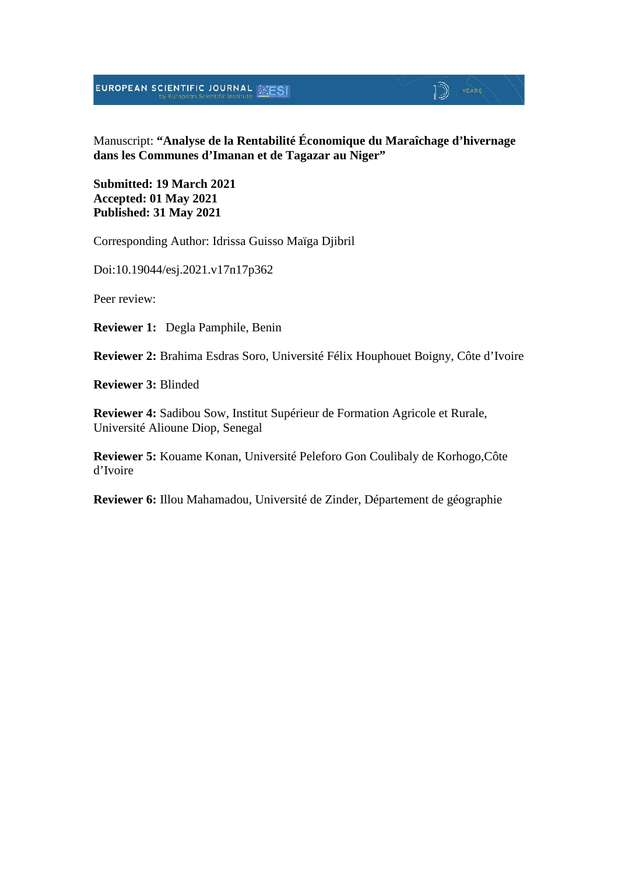EUROPEAN SCIENTIFIC JOURNAL ESESI

#### Manuscript: **"Analyse de la Rentabilité Économique du Maraîchage d'hivernage dans les Communes d'Imanan et de Tagazar au Niger"**

 $\mathbb{D}$  YEARS

**Submitted: 19 March 2021 Accepted: 01 May 2021 Published: 31 May 2021**

Corresponding Author: Idrissa Guisso Maïga Djibril

Doi:10.19044/esj.2021.v17n17p362

Peer review:

**Reviewer 1:** Degla Pamphile, Benin

**Reviewer 2:** Brahima Esdras Soro, Université Félix Houphouet Boigny, Côte d'Ivoire

**Reviewer 3:** Blinded

**Reviewer 4:** Sadibou Sow, Institut Supérieur de Formation Agricole et Rurale, Université Alioune Diop, Senegal

**Reviewer 5:** Kouame Konan, Université Peleforo Gon Coulibaly de Korhogo,Côte d'Ivoire

**Reviewer 6:** Illou Mahamadou, Université de Zinder, Département de géographie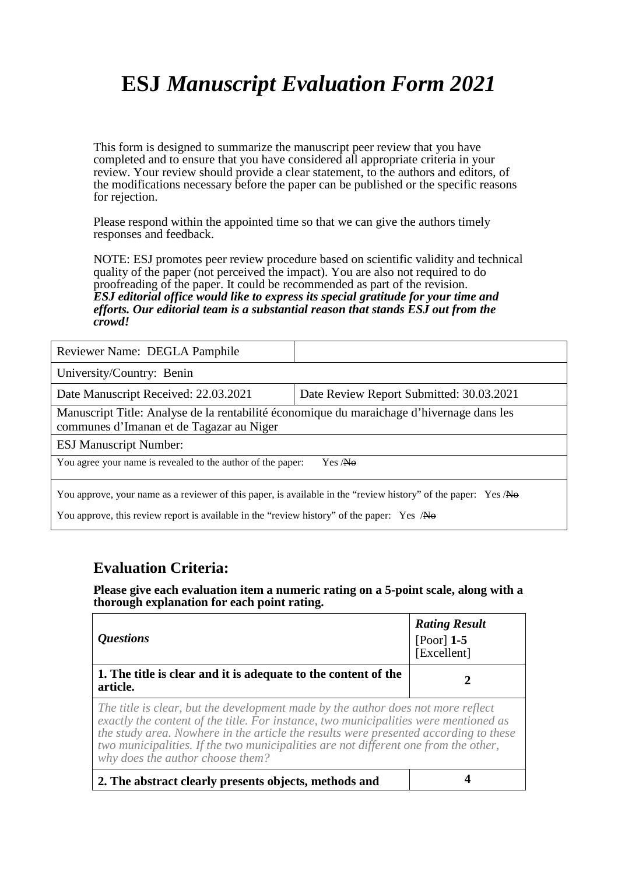This form is designed to summarize the manuscript peer review that you have completed and to ensure that you have considered all appropriate criteria in your review. Your review should provide a clear statement, to the authors and editors, of the modifications necessary before the paper can be published or the specific reasons for rejection.

Please respond within the appointed time so that we can give the authors timely responses and feedback.

NOTE: ESJ promotes peer review procedure based on scientific validity and technical quality of the paper (not perceived the impact). You are also not required to do proofreading of the paper. It could be recommended as part of the revision. *ESJ editorial office would like to express its special gratitude for your time and efforts. Our editorial team is a substantial reason that stands ESJ out from the crowd!* 

| Reviewer Name: DEGLA Pamphile                                                                                                                                                                                |                                          |  |
|--------------------------------------------------------------------------------------------------------------------------------------------------------------------------------------------------------------|------------------------------------------|--|
| University/Country: Benin                                                                                                                                                                                    |                                          |  |
| Date Manuscript Received: 22.03.2021                                                                                                                                                                         | Date Review Report Submitted: 30.03.2021 |  |
| Manuscript Title: Analyse de la rentabilité économique du maraichage d'hivernage dans les<br>communes d'Imanan et de Tagazar au Niger                                                                        |                                          |  |
| <b>ESJ Manuscript Number:</b>                                                                                                                                                                                |                                          |  |
| You agree your name is revealed to the author of the paper:<br>Yes / <b>No</b>                                                                                                                               |                                          |  |
| You approve, your name as a reviewer of this paper, is available in the "review history" of the paper: Yes /No<br>You approve, this review report is available in the "review history" of the paper: Yes /No |                                          |  |

### **Evaluation Criteria:**

| <i><b>Questions</b></i>                                                                                                                                                                                                                                                                                                                                                                     | <b>Rating Result</b><br>[Poor] $1-5$<br>[Excellent] |
|---------------------------------------------------------------------------------------------------------------------------------------------------------------------------------------------------------------------------------------------------------------------------------------------------------------------------------------------------------------------------------------------|-----------------------------------------------------|
| 1. The title is clear and it is adequate to the content of the<br>article.                                                                                                                                                                                                                                                                                                                  |                                                     |
| The title is clear, but the development made by the author does not more reflect<br>exactly the content of the title. For instance, two municipalities were mentioned as<br>the study area. Nowhere in the article the results were presented according to these<br>two municipalities. If the two municipalities are not different one from the other,<br>why does the author choose them? |                                                     |
| 2. The abstract clearly presents objects, methods and                                                                                                                                                                                                                                                                                                                                       |                                                     |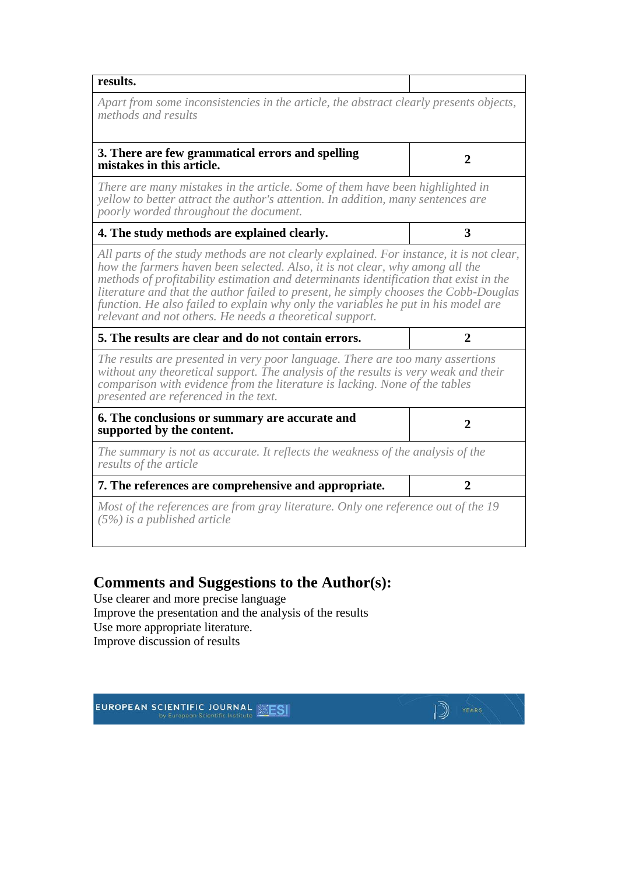| results.                                                                                                                                                                                                                                                                                                                                                                                                                                                                                                     |                |
|--------------------------------------------------------------------------------------------------------------------------------------------------------------------------------------------------------------------------------------------------------------------------------------------------------------------------------------------------------------------------------------------------------------------------------------------------------------------------------------------------------------|----------------|
| Apart from some inconsistencies in the article, the abstract clearly presents objects,<br>methods and results                                                                                                                                                                                                                                                                                                                                                                                                |                |
| 3. There are few grammatical errors and spelling<br>mistakes in this article.                                                                                                                                                                                                                                                                                                                                                                                                                                | $\overline{2}$ |
| There are many mistakes in the article. Some of them have been highlighted in<br>yellow to better attract the author's attention. In addition, many sentences are<br>poorly worded throughout the document.                                                                                                                                                                                                                                                                                                  |                |
| 4. The study methods are explained clearly.                                                                                                                                                                                                                                                                                                                                                                                                                                                                  | 3              |
| All parts of the study methods are not clearly explained. For instance, it is not clear,<br>how the farmers haven been selected. Also, it is not clear, why among all the<br>methods of profitability estimation and determinants identification that exist in the<br>literature and that the author failed to present, he simply chooses the Cobb-Douglas<br>function. He also failed to explain why only the variables he put in his model are<br>relevant and not others. He needs a theoretical support. |                |
| 5. The results are clear and do not contain errors.                                                                                                                                                                                                                                                                                                                                                                                                                                                          | 2              |
| The results are presented in very poor language. There are too many assertions<br>without any theoretical support. The analysis of the results is very weak and their<br>comparison with evidence from the literature is lacking. None of the tables<br>presented are referenced in the text.                                                                                                                                                                                                                |                |
| 6. The conclusions or summary are accurate and<br>supported by the content.                                                                                                                                                                                                                                                                                                                                                                                                                                  | $\overline{2}$ |
| The summary is not as accurate. It reflects the weakness of the analysis of the<br>results of the article                                                                                                                                                                                                                                                                                                                                                                                                    |                |
| 7. The references are comprehensive and appropriate.                                                                                                                                                                                                                                                                                                                                                                                                                                                         | $\overline{2}$ |
| Most of the references are from gray literature. Only one reference out of the 19<br>$(5%)$ is a published article                                                                                                                                                                                                                                                                                                                                                                                           |                |

 $\mathbb{D}$  YEARS

### **Comments and Suggestions to the Author(s):**

Use clearer and more precise language Improve the presentation and the analysis of the results Use more appropriate literature. Improve discussion of results

**EUROPEAN SCIENTIFIC JOURNAL SESI**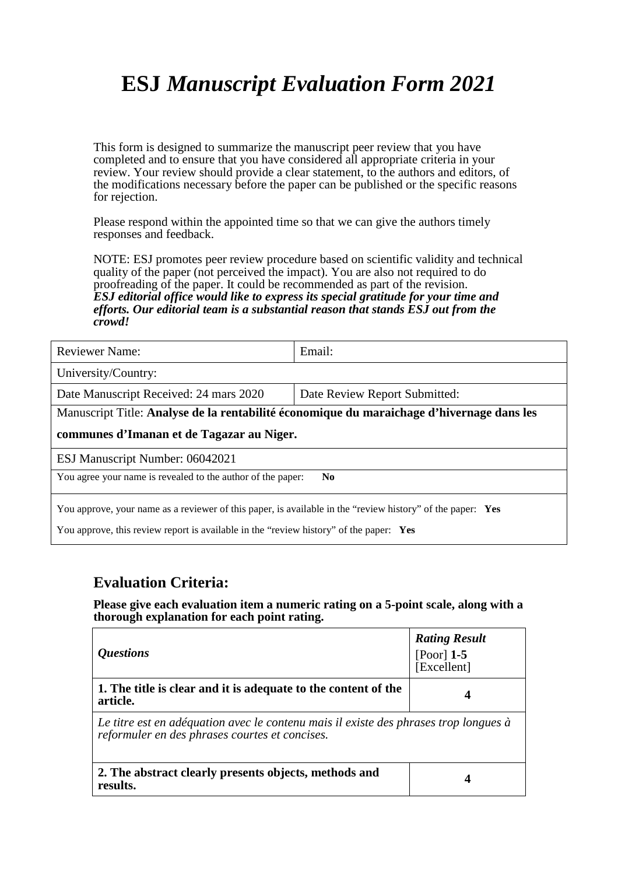This form is designed to summarize the manuscript peer review that you have completed and to ensure that you have considered all appropriate criteria in your review. Your review should provide a clear statement, to the authors and editors, of the modifications necessary before the paper can be published or the specific reasons for rejection.

Please respond within the appointed time so that we can give the authors timely responses and feedback.

NOTE: ESJ promotes peer review procedure based on scientific validity and technical quality of the paper (not perceived the impact). You are also not required to do proofreading of the paper. It could be recommended as part of the revision. *ESJ editorial office would like to express its special gratitude for your time and efforts. Our editorial team is a substantial reason that stands ESJ out from the crowd!* 

| <b>Reviewer Name:</b>                                                                                                                                                                                | Email:                                                                                    |  |
|------------------------------------------------------------------------------------------------------------------------------------------------------------------------------------------------------|-------------------------------------------------------------------------------------------|--|
| University/Country:                                                                                                                                                                                  |                                                                                           |  |
| Date Manuscript Received: 24 mars 2020                                                                                                                                                               | Date Review Report Submitted:                                                             |  |
|                                                                                                                                                                                                      | Manuscript Title: Analyse de la rentabilité économique du maraichage d'hivernage dans les |  |
| communes d'Imanan et de Tagazar au Niger.                                                                                                                                                            |                                                                                           |  |
| ESJ Manuscript Number: 06042021                                                                                                                                                                      |                                                                                           |  |
| You agree your name is revealed to the author of the paper:<br>N <sub>0</sub>                                                                                                                        |                                                                                           |  |
| You approve, your name as a reviewer of this paper, is available in the "review history" of the paper: Yes<br>You approve, this review report is available in the "review history" of the paper: Yes |                                                                                           |  |

### **Evaluation Criteria:**

| <i><b>Ouestions</b></i>                                                                                                                | <b>Rating Result</b><br>[Poor] $1-5$<br>[Excellent] |
|----------------------------------------------------------------------------------------------------------------------------------------|-----------------------------------------------------|
| 1. The title is clear and it is adequate to the content of the<br>article.                                                             |                                                     |
| Le titre est en adéquation avec le contenu mais il existe des phrases trop longues à<br>reformuler en des phrases courtes et concises. |                                                     |
| 2. The abstract clearly presents objects, methods and<br>results.                                                                      |                                                     |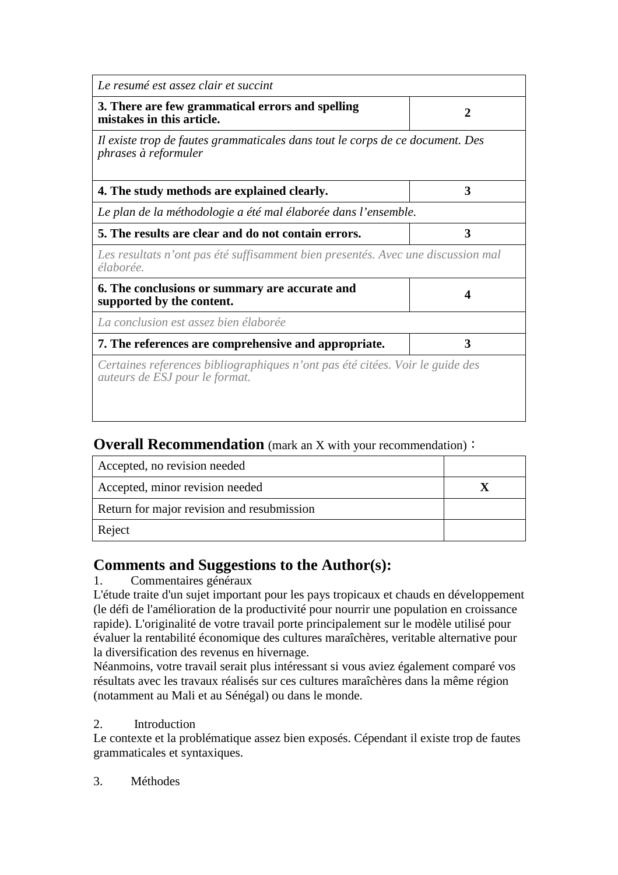| $\mathbf{2}$                                                                     |
|----------------------------------------------------------------------------------|
| Il existe trop de fautes grammaticales dans tout le corps de ce document. Des    |
| 3                                                                                |
| Le plan de la méthodologie a été mal élaborée dans l'ensemble.                   |
| 3                                                                                |
| Les resultats n'ont pas été suffisamment bien presentés. Avec une discussion mal |
| Δ                                                                                |
|                                                                                  |
| 3                                                                                |
| Certaines references bibliographiques n'ont pas été citées. Voir le guide des    |
|                                                                                  |

### **Overall Recommendation** (mark an X with your recommendation):

| Accepted, no revision needed               |  |
|--------------------------------------------|--|
| Accepted, minor revision needed            |  |
| Return for major revision and resubmission |  |
| Reject                                     |  |

### **Comments and Suggestions to the Author(s):**

### 1. Commentaires généraux

L'étude traite d'un sujet important pour les pays tropicaux et chauds en développement (le défi de l'amélioration de la productivité pour nourrir une population en croissance rapide). L'originalité de votre travail porte principalement sur le modèle utilisé pour évaluer la rentabilité économique des cultures maraîchères, veritable alternative pour la diversification des revenus en hivernage.

Néanmoins, votre travail serait plus intéressant si vous aviez également comparé vos résultats avec les travaux réalisés sur ces cultures maraîchères dans la même région (notamment au Mali et au Sénégal) ou dans le monde.

### 2. Introduction

Le contexte et la problématique assez bien exposés. Cépendant il existe trop de fautes grammaticales et syntaxiques.

### 3. Méthodes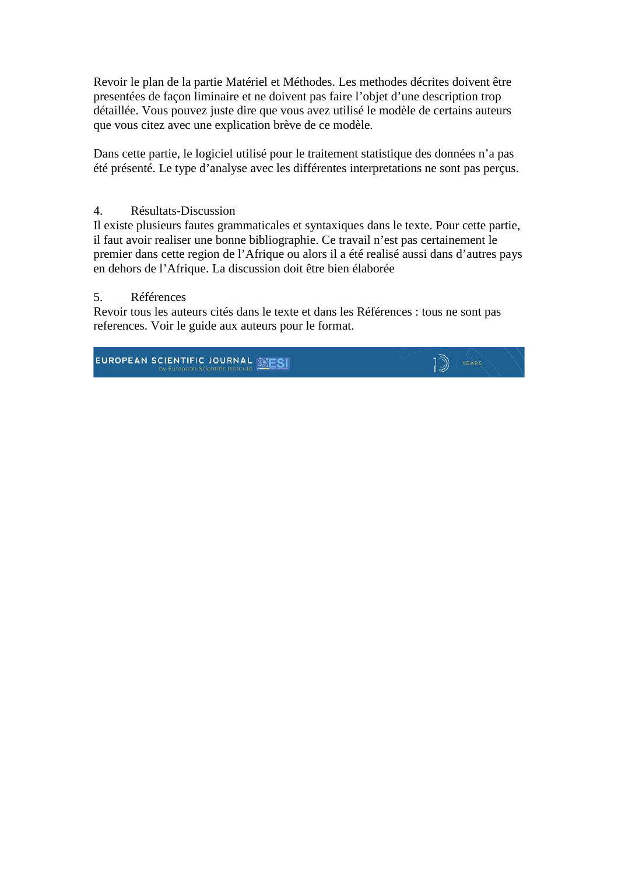Revoir le plan de la partie Matériel et Méthodes. Les methodes décrites doivent être presentées de façon liminaire et ne doivent pas faire l'objet d'une description trop détaillée. Vous pouvez juste dire que vous avez utilisé le modèle de certains auteurs que vous citez avec une explication brève de ce modèle.

Dans cette partie, le logiciel utilisé pour le traitement statistique des données n'a pas été présenté. Le type d'analyse avec les différentes interpretations ne sont pas perçus.

#### 4. Résultats-Discussion

Il existe plusieurs fautes grammaticales et syntaxiques dans le texte. Pour cette partie, il faut avoir realiser une bonne bibliographie. Ce travail n'est pas certainement le premier dans cette region de l'Afrique ou alors il a été realisé aussi dans d'autres pays en dehors de l'Afrique. La discussion doit être bien élaborée

#### 5. Références

Revoir tous les auteurs cités dans le texte et dans les Références : tous ne sont pas references. Voir le guide aux auteurs pour le format.

EUROPEAN SCIENTIFIC JOURNAL MESI

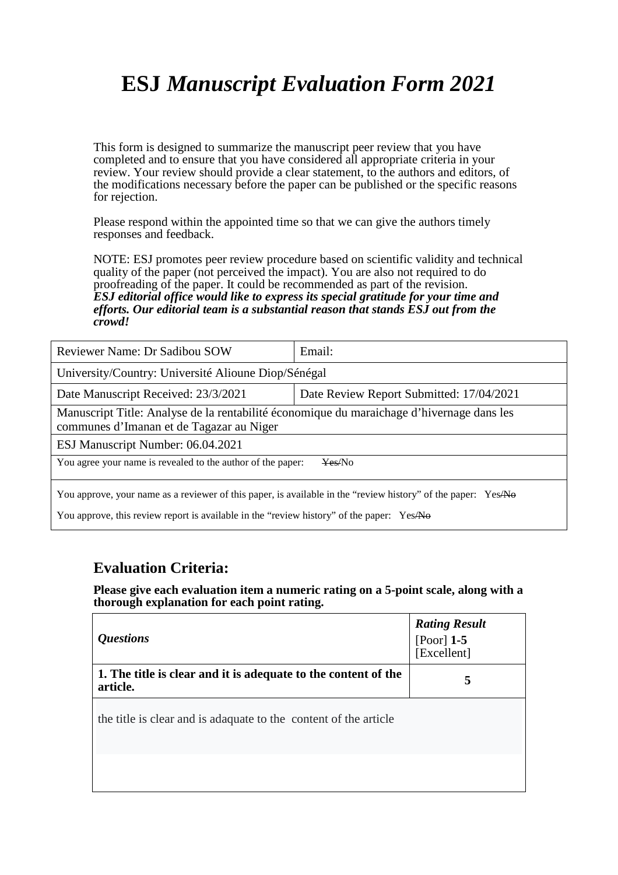This form is designed to summarize the manuscript peer review that you have completed and to ensure that you have considered all appropriate criteria in your review. Your review should provide a clear statement, to the authors and editors, of the modifications necessary before the paper can be published or the specific reasons for rejection.

Please respond within the appointed time so that we can give the authors timely responses and feedback.

NOTE: ESJ promotes peer review procedure based on scientific validity and technical quality of the paper (not perceived the impact). You are also not required to do proofreading of the paper. It could be recommended as part of the revision. *ESJ editorial office would like to express its special gratitude for your time and efforts. Our editorial team is a substantial reason that stands ESJ out from the crowd!* 

| Reviewer Name: Dr Sadibou SOW                                                                                                                                                                              | Email:                                   |  |
|------------------------------------------------------------------------------------------------------------------------------------------------------------------------------------------------------------|------------------------------------------|--|
| University/Country: Université Alioune Diop/Sénégal                                                                                                                                                        |                                          |  |
| Date Manuscript Received: 23/3/2021                                                                                                                                                                        | Date Review Report Submitted: 17/04/2021 |  |
| Manuscript Title: Analyse de la rentabilité économique du maraichage d'hivernage dans les<br>communes d'Imanan et de Tagazar au Niger                                                                      |                                          |  |
| ESJ Manuscript Number: 06.04.2021                                                                                                                                                                          |                                          |  |
| You agree your name is revealed to the author of the paper:<br>Yes/No                                                                                                                                      |                                          |  |
| You approve, your name as a reviewer of this paper, is available in the "review history" of the paper: YesANo<br>You approve, this review report is available in the "review history" of the paper: YesANO |                                          |  |

### **Evaluation Criteria:**

| <i><b>Questions</b></i>                                                    | <b>Rating Result</b><br>[Poor] 1-5<br>[Excellent] |
|----------------------------------------------------------------------------|---------------------------------------------------|
| 1. The title is clear and it is adequate to the content of the<br>article. | 5                                                 |
| the title is clear and is adaquate to the content of the article           |                                                   |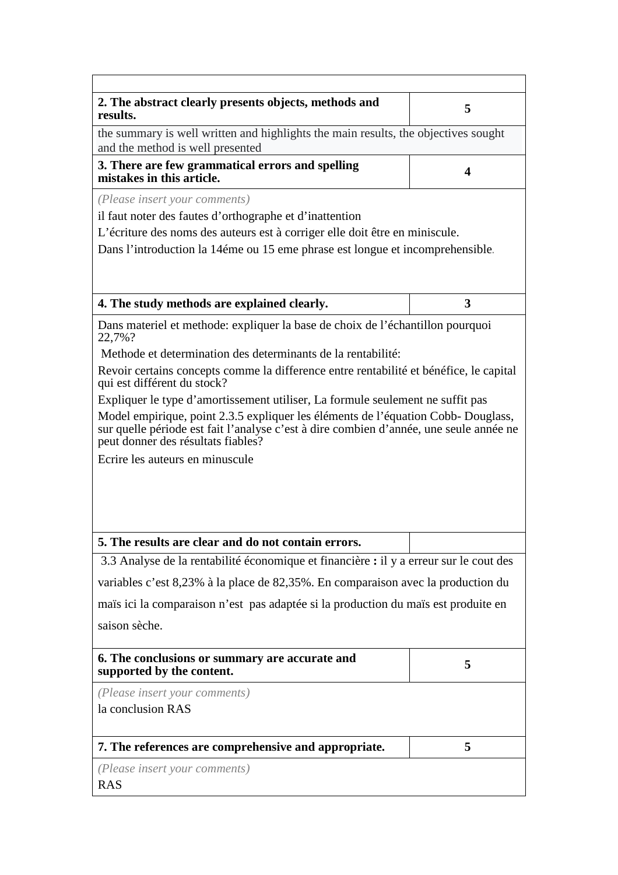| 2. The abstract clearly presents objects, methods and<br>results.                                                                                                                                                | 5 |  |
|------------------------------------------------------------------------------------------------------------------------------------------------------------------------------------------------------------------|---|--|
| the summary is well written and highlights the main results, the objectives sought<br>and the method is well presented                                                                                           |   |  |
| 3. There are few grammatical errors and spelling<br>mistakes in this article.                                                                                                                                    | 4 |  |
| (Please insert your comments)                                                                                                                                                                                    |   |  |
| il faut noter des fautes d'orthographe et d'inattention                                                                                                                                                          |   |  |
| L'écriture des noms des auteurs est à corriger elle doit être en miniscule.                                                                                                                                      |   |  |
| Dans l'introduction la 14 éme ou 15 eme phrase est longue et incomprehensible.                                                                                                                                   |   |  |
|                                                                                                                                                                                                                  |   |  |
| 4. The study methods are explained clearly.                                                                                                                                                                      | 3 |  |
| Dans materiel et methode: expliquer la base de choix de l'échantillon pourquoi<br>22,7%?                                                                                                                         |   |  |
| Methode et determination des determinants de la rentabilité:                                                                                                                                                     |   |  |
| Revoir certains concepts comme la difference entre rentabilité et bénéfice, le capital<br>qui est différent du stock?                                                                                            |   |  |
| Expliquer le type d'amortissement utiliser, La formule seulement ne suffit pas                                                                                                                                   |   |  |
| Model empirique, point 2.3.5 expliquer les éléments de l'équation Cobb-Douglass,<br>sur quelle période est fait l'analyse c'est à dire combien d'année, une seule année ne<br>peut donner des résultats fiables? |   |  |
| Ecrire les auteurs en minuscule                                                                                                                                                                                  |   |  |
|                                                                                                                                                                                                                  |   |  |
|                                                                                                                                                                                                                  |   |  |
|                                                                                                                                                                                                                  |   |  |
|                                                                                                                                                                                                                  |   |  |
| 5. The results are clear and do not contain errors.<br>3.3 Analyse de la rentabilité économique et financière : il y a erreur sur le cout des                                                                    |   |  |
|                                                                                                                                                                                                                  |   |  |
| variables c'est 8,23% à la place de 82,35%. En comparaison avec la production du                                                                                                                                 |   |  |
| maïs ici la comparaison n'est pas adaptée si la production du maïs est produite en                                                                                                                               |   |  |
| saison sèche.                                                                                                                                                                                                    |   |  |
| 6. The conclusions or summary are accurate and<br>supported by the content.                                                                                                                                      | 5 |  |
| (Please insert your comments)                                                                                                                                                                                    |   |  |
| la conclusion RAS                                                                                                                                                                                                |   |  |
| 7. The references are comprehensive and appropriate.                                                                                                                                                             | 5 |  |
| (Please insert your comments)                                                                                                                                                                                    |   |  |
| <b>RAS</b>                                                                                                                                                                                                       |   |  |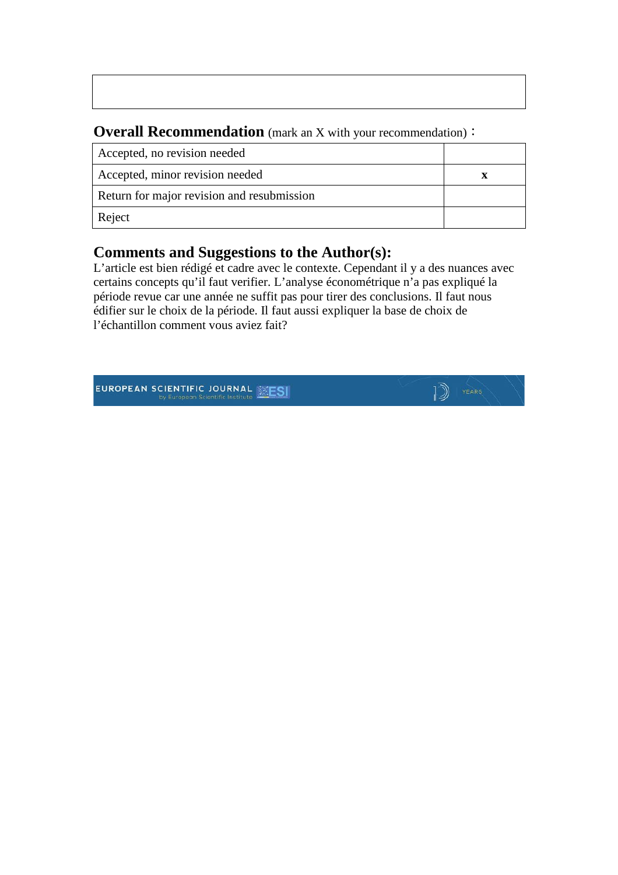### **Overall Recommendation** (mark an X with your recommendation):

| Accepted, no revision needed               |  |
|--------------------------------------------|--|
| Accepted, minor revision needed            |  |
| Return for major revision and resubmission |  |
| Reject                                     |  |

## **Comments and Suggestions to the Author(s):**

L'article est bien rédigé et cadre avec le contexte. Cependant il y a des nuances avec certains concepts qu'il faut verifier. L'analyse économétrique n'a pas expliqué la période revue car une année ne suffit pas pour tirer des conclusions. Il faut nous édifier sur le choix de la période. Il faut aussi expliquer la base de choix de l'échantillon comment vous aviez fait?

D YEARS

EUROPEAN SCIENTIFIC JOURNAL **EXESI**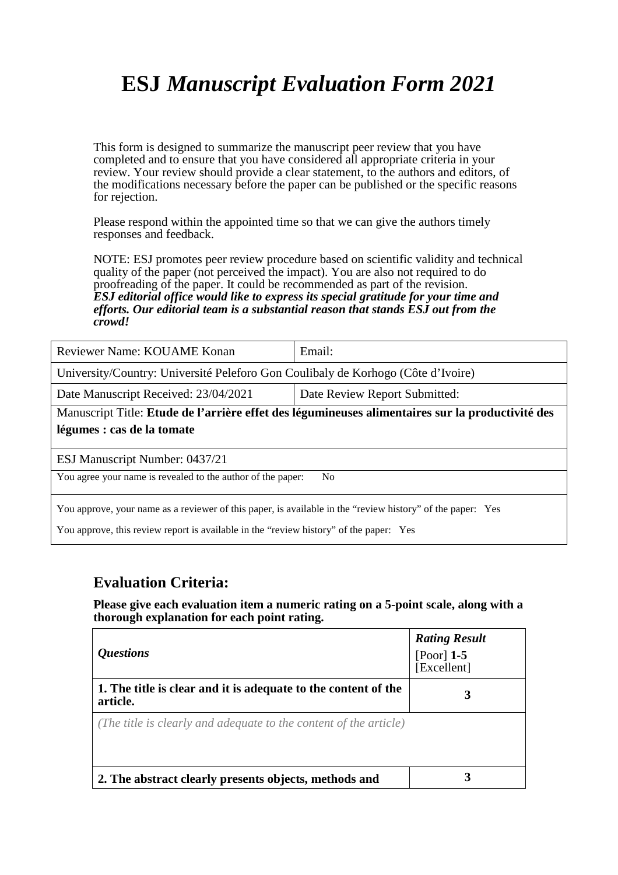This form is designed to summarize the manuscript peer review that you have completed and to ensure that you have considered all appropriate criteria in your review. Your review should provide a clear statement, to the authors and editors, of the modifications necessary before the paper can be published or the specific reasons for rejection.

Please respond within the appointed time so that we can give the authors timely responses and feedback.

NOTE: ESJ promotes peer review procedure based on scientific validity and technical quality of the paper (not perceived the impact). You are also not required to do proofreading of the paper. It could be recommended as part of the revision. *ESJ editorial office would like to express its special gratitude for your time and efforts. Our editorial team is a substantial reason that stands ESJ out from the crowd!* 

| Reviewer Name: KOUAME Konan                                                                      | Email:                        |  |
|--------------------------------------------------------------------------------------------------|-------------------------------|--|
| University/Country: Université Peleforo Gon Coulibaly de Korhogo (Côte d'Ivoire)                 |                               |  |
| Date Manuscript Received: 23/04/2021                                                             | Date Review Report Submitted: |  |
| Manuscript Title: Etude de l'arrière effet des légumineuses alimentaires sur la productivité des |                               |  |
| légumes : cas de la tomate                                                                       |                               |  |
|                                                                                                  |                               |  |
| ESJ Manuscript Number: 0437/21                                                                   |                               |  |
| You agree your name is revealed to the author of the paper:<br>No.                               |                               |  |

You approve, your name as a reviewer of this paper, is available in the "review history" of the paper: Yes

You approve, this review report is available in the "review history" of the paper: Yes

### **Evaluation Criteria:**

| <i><b>Ouestions</b></i>                                                    | <b>Rating Result</b><br>[Poor] $1-5$<br>[Excellent] |
|----------------------------------------------------------------------------|-----------------------------------------------------|
| 1. The title is clear and it is adequate to the content of the<br>article. | 3                                                   |
| (The title is clearly and adequate to the content of the article)          |                                                     |
| 2. The abstract clearly presents objects, methods and                      |                                                     |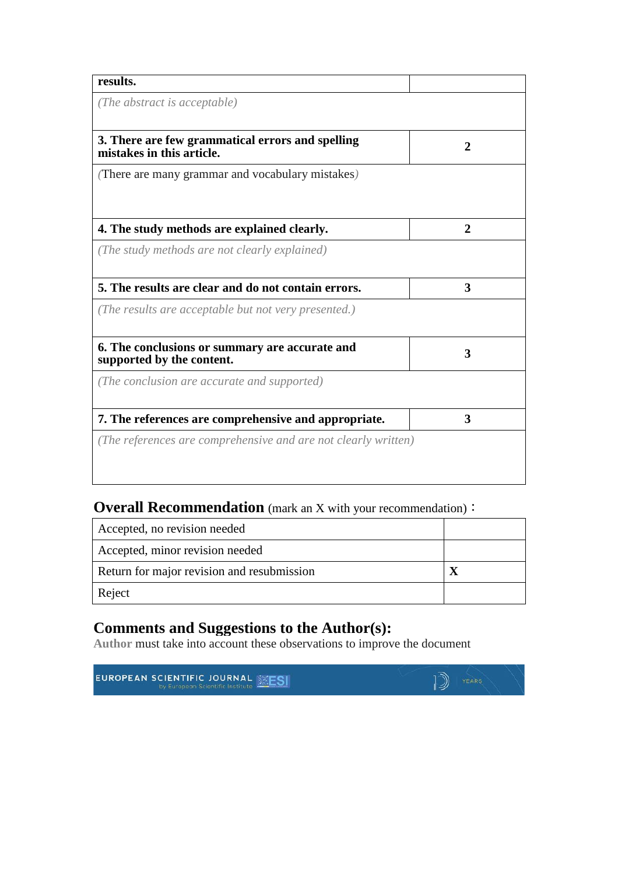| results.                                                                      |   |
|-------------------------------------------------------------------------------|---|
| (The abstract is acceptable)                                                  |   |
| 3. There are few grammatical errors and spelling<br>mistakes in this article. | 2 |
| (There are many grammar and vocabulary mistakes)                              |   |
|                                                                               |   |
| 4. The study methods are explained clearly.                                   | 2 |
| (The study methods are not clearly explained)                                 |   |
|                                                                               |   |
| 5. The results are clear and do not contain errors.                           | 3 |
| (The results are acceptable but not very presented.)                          |   |
| 6. The conclusions or summary are accurate and<br>supported by the content.   | 3 |
| (The conclusion are accurate and supported)                                   |   |
| 7. The references are comprehensive and appropriate.                          | 3 |
|                                                                               |   |

## **Overall Recommendation** (mark an X with your recommendation):

| Accepted, no revision needed               |  |
|--------------------------------------------|--|
| Accepted, minor revision needed            |  |
| Return for major revision and resubmission |  |
| Reject                                     |  |

 $\mathbb{D}$  YEARS

## **Comments and Suggestions to the Author(s):**

**Author** must take into account these observations to improve the document

**EUROPEAN SCIENTIFIC JOURNAL MESI**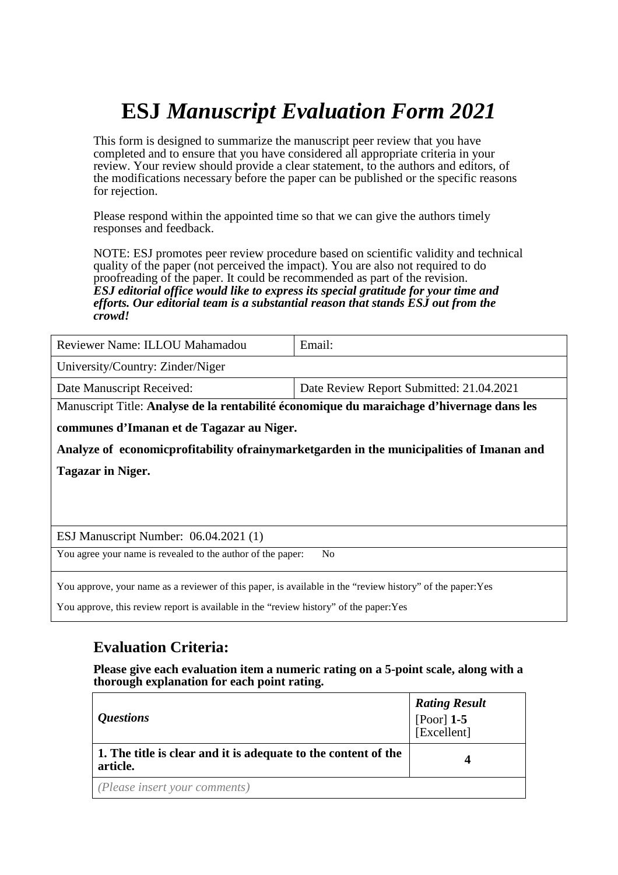This form is designed to summarize the manuscript peer review that you have completed and to ensure that you have considered all appropriate criteria in your review. Your review should provide a clear statement, to the authors and editors, of the modifications necessary before the paper can be published or the specific reasons for rejection.

Please respond within the appointed time so that we can give the authors timely responses and feedback.

NOTE: ESJ promotes peer review procedure based on scientific validity and technical quality of the paper (not perceived the impact). You are also not required to do proofreading of the paper. It could be recommended as part of the revision. *ESJ editorial office would like to express its special gratitude for your time and efforts. Our editorial team is a substantial reason that stands ESJ out from the crowd!* 

| Reviewer Name: ILLOU Mahamadou                                                              | Email:                                   |  |  |  |
|---------------------------------------------------------------------------------------------|------------------------------------------|--|--|--|
| University/Country: Zinder/Niger                                                            |                                          |  |  |  |
| Date Manuscript Received:                                                                   | Date Review Report Submitted: 21.04.2021 |  |  |  |
| Manuscript Title: Analyse de la rentabilité économique du maraichage d'hivernage dans les   |                                          |  |  |  |
| communes d'Imanan et de Tagazar au Niger.                                                   |                                          |  |  |  |
| Analyze of economic profitability of rainymarket garden in the municipalities of Imanan and |                                          |  |  |  |
| <b>Tagazar in Niger.</b>                                                                    |                                          |  |  |  |

ESJ Manuscript Number: 06.04.2021 (1)

You agree your name is revealed to the author of the paper: No

You approve, your name as a reviewer of this paper, is available in the "review history" of the paper:Yes

You approve, this review report is available in the "review history" of the paper:Yes

### **Evaluation Criteria:**

| <i><b>Questions</b></i>                                                    | <b>Rating Result</b><br>[Poor] $1-5$<br>[Excellent] |
|----------------------------------------------------------------------------|-----------------------------------------------------|
| 1. The title is clear and it is adequate to the content of the<br>article. | Δ                                                   |
| (Please insert your comments)                                              |                                                     |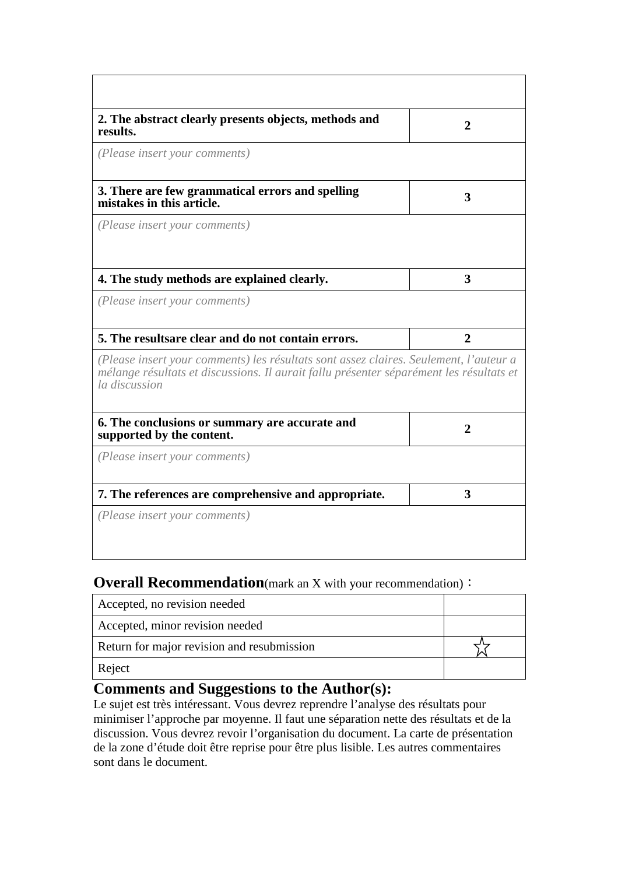| 2. The abstract clearly presents objects, methods and<br>results.                                                                                                                                 | $\mathbf 2$    |
|---------------------------------------------------------------------------------------------------------------------------------------------------------------------------------------------------|----------------|
| (Please insert your comments)                                                                                                                                                                     |                |
| 3. There are few grammatical errors and spelling<br>mistakes in this article.                                                                                                                     | 3              |
| (Please insert your comments)                                                                                                                                                                     |                |
| 4. The study methods are explained clearly.                                                                                                                                                       | 3              |
| (Please insert your comments)                                                                                                                                                                     |                |
| 5. The resultsare clear and do not contain errors.                                                                                                                                                | $\overline{2}$ |
| (Please insert your comments) les résultats sont assez claires. Seulement, l'auteur a<br>mélange résultats et discussions. Il aurait fallu présenter séparément les résultats et<br>la discussion |                |
| 6. The conclusions or summary are accurate and<br>supported by the content.                                                                                                                       | $\mathbf{2}$   |
| (Please insert your comments)                                                                                                                                                                     |                |
| 7. The references are comprehensive and appropriate.                                                                                                                                              | 3              |
| (Please insert your comments)                                                                                                                                                                     |                |

### **Overall Recommendation**(mark an X with your recommendation):

| Accepted, no revision needed               |  |
|--------------------------------------------|--|
| Accepted, minor revision needed            |  |
| Return for major revision and resubmission |  |
| Reject                                     |  |

## **Comments and Suggestions to the Author(s):**

Le sujet est très intéressant. Vous devrez reprendre l'analyse des résultats pour minimiser l'approche par moyenne. Il faut une séparation nette des résultats et de la discussion. Vous devrez revoir l'organisation du document. La carte de présentation de la zone d'étude doit être reprise pour être plus lisible. Les autres commentaires sont dans le document.